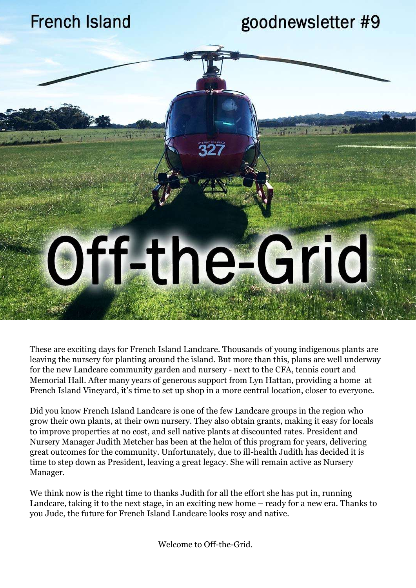

These are exciting days for French Island Landcare. Thousands of young indigenous plants are leaving the nursery for planting around the island. But more than this, plans are well underway for the new Landcare community garden and nursery - next to the CFA, tennis court and Memorial Hall. After many years of generous support from Lyn Hattan, providing a home at French Island Vineyard, it's time to set up shop in a more central location, closer to everyone.

Did you know French Island Landcare is one of the few Landcare groups in the region who grow their own plants, at their own nursery. They also obtain grants, making it easy for locals to improve properties at no cost, and sell native plants at discounted rates. President and Nursery Manager Judith Metcher has been at the helm of this program for years, delivering great outcomes for the community. Unfortunately, due to ill-health Judith has decided it is time to step down as President, leaving a great legacy. She will remain active as Nursery Manager.

We think now is the right time to thanks Judith for all the effort she has put in, running Landcare, taking it to the next stage, in an exciting new home – ready for a new era. Thanks to you Jude, the future for French Island Landcare looks rosy and native.

Welcome to Off-the-Grid.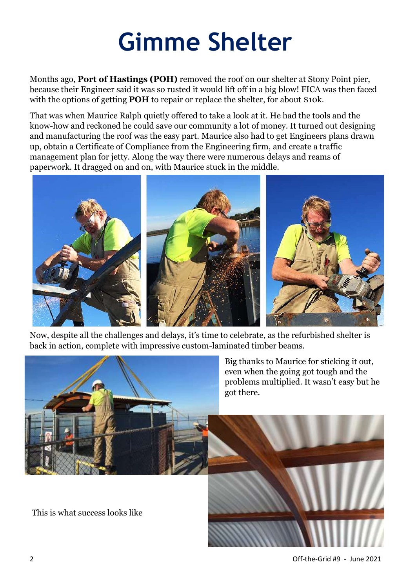# **Gimme Shelter**

Months ago, **Port of Hastings (POH)** removed the roof on our shelter at Stony Point pier, because their Engineer said it was so rusted it would lift off in a big blow! FICA was then faced with the options of getting **POH** to repair or replace the shelter, for about \$10k.

That was when Maurice Ralph quietly offered to take a look at it. He had the tools and the know-how and reckoned he could save our community a lot of money. It turned out designing and manufacturing the roof was the easy part. Maurice also had to get Engineers plans drawn up, obtain a Certificate of Compliance from the Engineering firm, and create a traffic management plan for jetty. Along the way there were numerous delays and reams of paperwork. It dragged on and on, with Maurice stuck in the middle.



Now, despite all the challenges and delays, it's time to celebrate, as the refurbished shelter is back in action, complete with impressive custom-laminated timber beams.



2 Off-the-Grid #9 - June 2021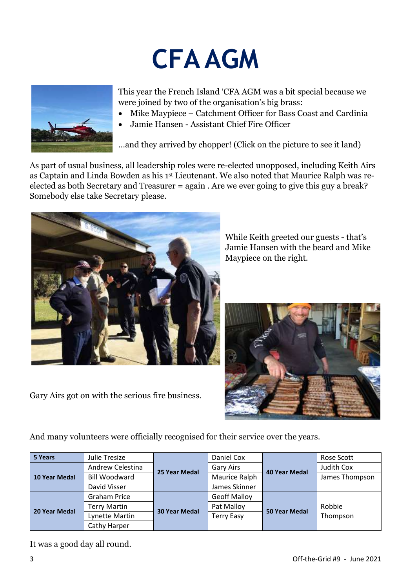



This year the French Island 'CFA AGM was a bit special because we were joined by two of the organisation's big brass:

- Mike Maypiece Catchment Officer for Bass Coast and Cardinia
- Jamie Hansen Assistant Chief Fire Officer

…and they arrived by chopper! (Click on the picture to see it land)

As part of usual business, all leadership roles were re-elected unopposed, including Keith Airs as Captain and Linda Bowden as his 1st Lieutenant. We also noted that Maurice Ralph was reelected as both Secretary and Treasurer = again . Are we ever going to give this guy a break? Somebody else take Secretary please.



Gary Airs got on with the serious fire business.

While Keith greeted our guests - that's Jamie Hansen with the beard and Mike Maypiece on the right.



And many volunteers were officially recognised for their service over the years.

| 5 Years              | Julie Tresize        | <b>25 Year Medal</b> | Daniel Cox          | <b>40 Year Medal</b> | Rose Scott     |
|----------------------|----------------------|----------------------|---------------------|----------------------|----------------|
| <b>10 Year Medal</b> | Andrew Celestina     |                      | Gary Airs           |                      | Judith Cox     |
|                      | <b>Bill Woodward</b> |                      | Maurice Ralph       |                      | James Thompson |
|                      | David Visser         |                      | James Skinner       |                      |                |
| 20 Year Medal        | Graham Price         | <b>30 Year Medal</b> | <b>Geoff Malloy</b> | <b>50 Year Medal</b> |                |
|                      | <b>Terry Martin</b>  |                      | Pat Malloy          |                      | Robbie         |
|                      | Lynette Martin       |                      | <b>Terry Easy</b>   |                      | Thompson       |
|                      | Cathy Harper         |                      |                     |                      |                |

It was a good day all round.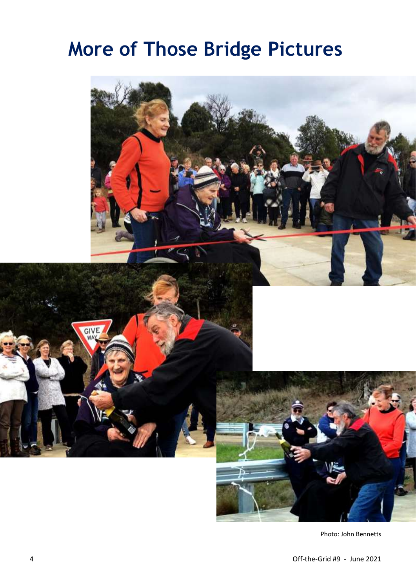### **More of Those Bridge Pictures**



Photo: John Bennetts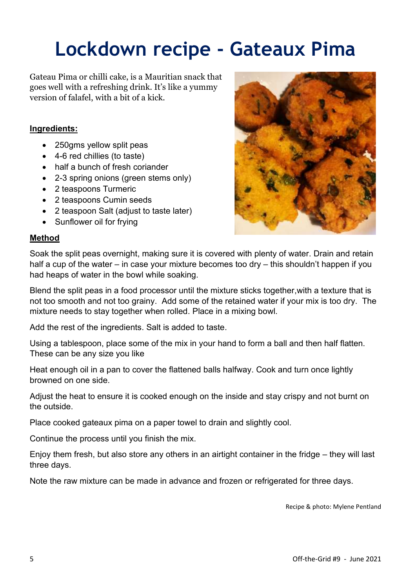### **Lockdown recipe - Gateaux Pima**

Gateau Pima or chilli cake, is a Mauritian snack that goes well with a refreshing drink. It's like a yummy version of falafel, with a bit of a kick.

#### **Ingredients:**

- 250gms yellow split peas
- 4-6 red chillies (to taste)
- half a bunch of fresh coriander
- 2-3 spring onions (green stems only)
- 2 teaspoons Turmeric
- 2 teaspoons Cumin seeds
- 2 teaspoon Salt (adjust to taste later)
- Sunflower oil for frying

#### **Method**



Soak the split peas overnight, making sure it is covered with plenty of water. Drain and retain half a cup of the water – in case your mixture becomes too dry – this shouldn't happen if you had heaps of water in the bowl while soaking.

Blend the split peas in a food processor until the mixture sticks together,with a texture that is not too smooth and not too grainy. Add some of the retained water if your mix is too dry. The mixture needs to stay together when rolled. Place in a mixing bowl.

Add the rest of the ingredients. Salt is added to taste.

Using a tablespoon, place some of the mix in your hand to form a ball and then half flatten. These can be any size you like

Heat enough oil in a pan to cover the flattened balls halfway. Cook and turn once lightly browned on one side.

Adjust the heat to ensure it is cooked enough on the inside and stay crispy and not burnt on the outside.

Place cooked gateaux pima on a paper towel to drain and slightly cool.

Continue the process until you finish the mix.

Enjoy them fresh, but also store any others in an airtight container in the fridge – they will last three days.

Note the raw mixture can be made in advance and frozen or refrigerated for three days.

Recipe & photo: Mylene Pentland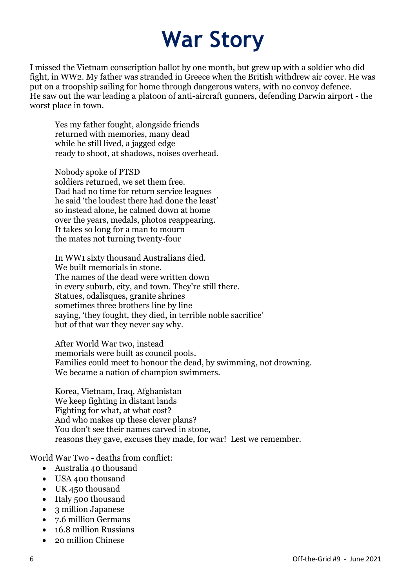## **War Story**

I missed the Vietnam conscription ballot by one month, but grew up with a soldier who did fight, in WW2. My father was stranded in Greece when the British withdrew air cover. He was put on a troopship sailing for home through dangerous waters, with no convoy defence. He saw out the war leading a platoon of anti-aircraft gunners, defending Darwin airport - the worst place in town.

Yes my father fought, alongside friends returned with memories, many dead while he still lived, a jagged edge ready to shoot, at shadows, noises overhead.

Nobody spoke of PTSD soldiers returned, we set them free. Dad had no time for return service leagues he said 'the loudest there had done the least' so instead alone, he calmed down at home over the years, medals, photos reappearing. It takes so long for a man to mourn the mates not turning twenty-four

In WW1 sixty thousand Australians died. We built memorials in stone. The names of the dead were written down in every suburb, city, and town. They're still there. Statues, odalisques, granite shrines sometimes three brothers line by line saying, 'they fought, they died, in terrible noble sacrifice' but of that war they never say why.

After World War two, instead memorials were built as council pools. Families could meet to honour the dead, by swimming, not drowning. We became a nation of champion swimmers.

Korea, Vietnam, Iraq, Afghanistan We keep fighting in distant lands Fighting for what, at what cost? And who makes up these clever plans? You don't see their names carved in stone, reasons they gave, excuses they made, for war! Lest we remember.

World War Two - deaths from conflict:

- Australia 40 thousand
- USA 400 thousand
- UK 450 thousand
- Italy 500 thousand
- 3 million Japanese
- 7.6 million Germans
- 16.8 million Russians
- 20 million Chinese